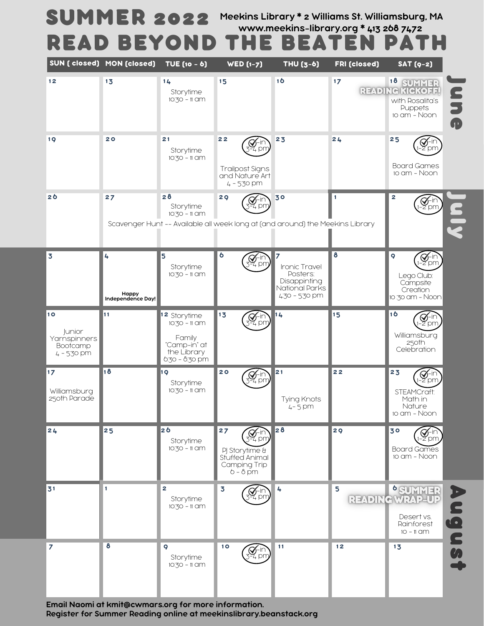# Meekins Library \* 2 Williams St. Williamsburg, MA SUMMER 2022 Meekins Library \* 2 Williams St. Williamsburg<br>www.meekins-library.org \* 413 268 7472 **READ BEYOND THE BEATEN PATH**

|                                                         | SUN (closed) MON (closed)       | TUE (10 - 6)                                                                                      | $WED(1-7)$                                                                                           | <b>THU (3-6)</b>                                                              | <b>FRI (closed)</b> | $SAT(9-2)$                                                                              |                                                   |
|---------------------------------------------------------|---------------------------------|---------------------------------------------------------------------------------------------------|------------------------------------------------------------------------------------------------------|-------------------------------------------------------------------------------|---------------------|-----------------------------------------------------------------------------------------|---------------------------------------------------|
| $12$                                                    | 13                              | $14$<br>Storytime<br>10:30 - 11 am                                                                | 15                                                                                                   | 16                                                                            | 17                  | 18 SUMMER<br>READING KICKOFF!<br>with Rosalita's<br>Puppets<br>10 am - Noon             | $\overline{\boldsymbol{\epsilon}}$<br>J<br>O<br>O |
| 19                                                      | 20                              | 21<br>Storytime<br>10:30 - 11 am                                                                  | 22<br>L pn<br><b>Trailpost Signs</b><br>and Nature Art<br>4 - 5:30 pm                                | 23                                                                            | 24                  | 25<br>2 pm<br><b>Board Games</b><br>10 am - Noon                                        |                                                   |
| 2 <sub>0</sub>                                          | 27                              | 28<br>Storytime<br>10:30 - 11 am                                                                  | 29<br>Scavenger Hunt -- Available all week long at (and around) the Meekins Library                  | 30                                                                            | 1                   | $\mathbf{z}$<br>$\bigotimes_{2 \text{pm}}$                                              |                                                   |
| $\overline{\mathbf{3}}$                                 | 4<br>Happy<br>Independence Day! | 5<br>Storytime<br>$10\frac{7}{3}$ O - 11 CIM                                                      | 6<br>4 pm                                                                                            | Ironic Travel<br>Posters:<br>Disappinting<br>National Parks<br>4:30 - 5:30 pm | 8                   | 9<br>M−lr<br>-2 pm<br>Lego Club:<br>Campsite<br>Creation<br>10:30 am - Noon             |                                                   |
| 10<br>Junior<br>Yarnspinners<br>Bootcamp<br>4 - 5:30 pm | 11                              | <b>2</b> Storytime<br>$10.30 - 11$ CIM<br>Family<br>"Camp-in" at<br>the Library<br>6:30 - 8:30 pm | 13<br>$\bigotimes_{i=1}^{n}$ pm                                                                      | 14                                                                            | 15                  | 16<br>$\mathcal{G}^{\text{lin}}_{\text{pm}}$<br>Williamsburg<br>250th<br>Celebration    |                                                   |
| $17$<br>Williamsburg<br>250th Parade                    | 18                              | 1 Q<br>Storytime<br>10:30 - 11 am                                                                 | 20<br>Z-in`<br>4 pm                                                                                  | 21<br>Tying Knots<br>$4 - 5$ pm                                               | 22                  | 23<br>$\bigotimes_{2}$ in'<br>-2 pm<br>STEAMCraft:<br>Math in<br>Nature<br>10 am - Noon |                                                   |
| 24                                                      | 25                              | 26<br>Storytime<br>10:30 - 11 am                                                                  | 27<br>$\left(\bigvee_{5=4}^{4}$ pm<br>PJ Storytime &<br>Stuffed Animal<br>Camping Trip<br>$6 - 8$ pm | 28                                                                            | 29                  | 30<br><b>⊈</b> -ir<br>−2 pm<br><b>Board Games</b><br>10 am - Noon                       |                                                   |
| 31                                                      | $\mathbf{1}$                    | $\mathbf{z}$<br>Storytime<br>10:30 - 11 am                                                        | $\overline{\mathbf{3}}$<br>$\bigvee_{\mathbb{Z}}$ -in $\bigcirc_{\mathbb{Z}}$                        | 4                                                                             | 5                   | SUMMER CEADING WRAP-UP<br>Desert vs.<br>Rainforest<br>$10 - 11$ CIM                     | P<br>$\bullet$                                    |
| $\overline{\mathbf{z}}$                                 | 8                               | 9<br>Storytime<br>10:30 - 11 am                                                                   | 10<br><b>⊈−</b> in`<br>F4 pm                                                                         | 11                                                                            | 12                  | 13                                                                                      | SS.                                               |

Email Naomi at kmit@cwmars.org for more information. Register for Summer Reading online at meekinslibrary.beanstack.org